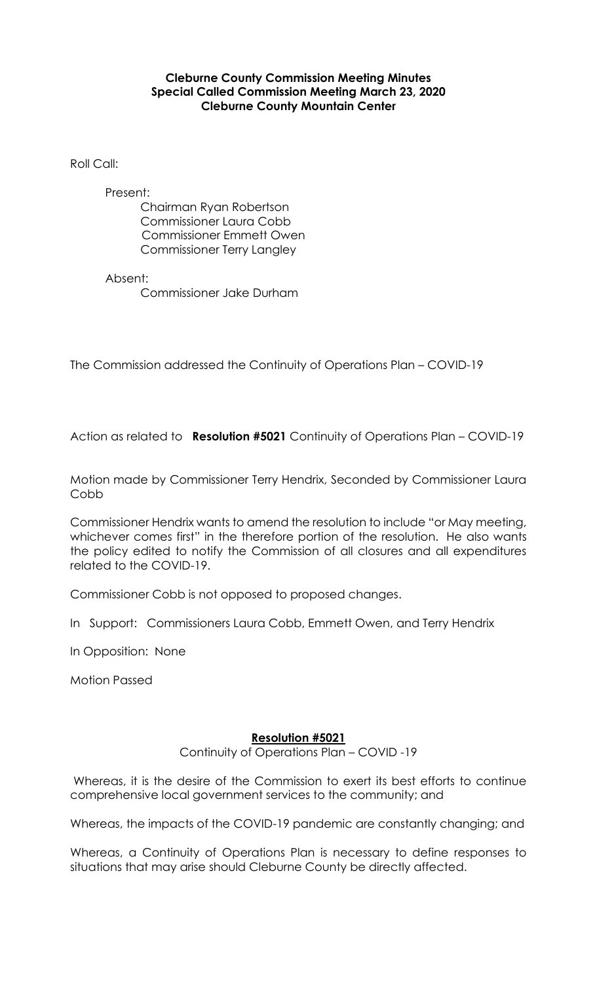## **Cleburne County Commission Meeting Minutes Special Called Commission Meeting March 23, 2020 Cleburne County Mountain Center**

Roll Call:

Present: Chairman Ryan Robertson Commissioner Laura Cobb Commissioner Emmett Owen Commissioner Terry Langley

Absent: Commissioner Jake Durham

The Commission addressed the Continuity of Operations Plan – COVID-19

Action as related to **Resolution #5021** Continuity of Operations Plan – COVID-19

Motion made by Commissioner Terry Hendrix, Seconded by Commissioner Laura Cobb

Commissioner Hendrix wants to amend the resolution to include "or May meeting, whichever comes first" in the therefore portion of the resolution. He also wants the policy edited to notify the Commission of all closures and all expenditures related to the COVID-19.

Commissioner Cobb is not opposed to proposed changes.

In Support: Commissioners Laura Cobb, Emmett Owen, and Terry Hendrix

In Opposition: None

Motion Passed

## **Resolution #5021**

Continuity of Operations Plan – COVID -19

Whereas, it is the desire of the Commission to exert its best efforts to continue comprehensive local government services to the community; and

Whereas, the impacts of the COVID-19 pandemic are constantly changing; and

Whereas, a Continuity of Operations Plan is necessary to define responses to situations that may arise should Cleburne County be directly affected.